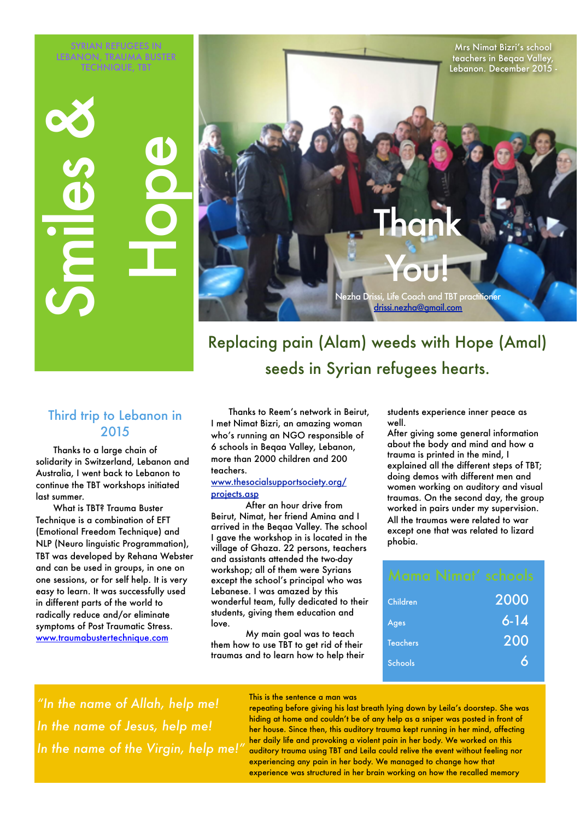SYRIAN REFUGEES IN LEBANON, TRAUMA BUSTER TECHNIQUE, TBT

Mrs Nimat Bizri's school teachers in Beqaa Valley, Lebanon. December 2015 - Thank

You!

Nezha Drissi, Life Coach and TBT practitioner [drissi.nezha@gmail.com](mailto:drissi.nezha@gmail.com)

# Replacing pain (Alam) weeds with Hope (Amal) seeds in Syrian refugees hearts.

#### Third trip to Lebanon in 2015

Thanks to a large chain of solidarity in Switzerland, Lebanon and Australia, I went back to Lebanon to continue the TBT workshops initiated last summer.

**In the name of Allah, help me!**<br> **In the name of Allah, help me!**<br> **In the name of Allah, help me!**<br> **In the name of Allah, help me!**<br> **In the name of Allah, help me!**<br> **In the name of Allah, help me!**<br> **In the name of Al** What is TBT? Trauma Buster Technique is a combination of EFT (Emotional Freedom Technique) and NLP (Neuro linguistic Programmation), TBT was developed by Rehana Webster and can be used in groups, in one on one sessions, or for self help. It is very easy to learn. It was successfully used in different parts of the world to radically reduce and/or eliminate symptoms of Post Traumatic Stress. [www.traumabustertechnique.com](http://www.traumabustertechnique.com)

Thanks to Reem's network in Beirut, I met Nimat Bizri, an amazing woman who's running an NGO responsible of 6 schools in Beqaa Valley, Lebanon, more than 2000 children and 200 teachers.

#### [www.thesocialsupportsociety.org/](http://www.thesocialsupportsociety.org/projects.asp) [projects.asp](http://www.thesocialsupportsociety.org/projects.asp)

After an hour drive from Beirut, Nimat, her friend Amina and I arrived in the Beqaa Valley. The school I gave the workshop in is located in the village of Ghaza. 22 persons, teachers and assistants attended the two-day workshop; all of them were Syrians except the school's principal who was Lebanese. I was amazed by this wonderful team, fully dedicated to their students, giving them education and love.

My main goal was to teach them how to use TBT to get rid of their traumas and to learn how to help their students experience inner peace as well.

After giving some general information about the body and mind and how a trauma is printed in the mind, I explained all the different steps of TBT; doing demos with different men and women working on auditory and visual traumas. On the second day, the group worked in pairs under my supervision. All the traumas were related to war except one that was related to lizard phobia.

|                 | Mama Nimat' schools |
|-----------------|---------------------|
| Children        | 2000                |
| Ages            | $6 - 14$            |
| <b>Teachers</b> | 200                 |
| <b>Schools</b>  | Α                   |
|                 |                     |

*"In the name of Allah, help me! In the name of Jesus, help me!*

This is the sentence a man was

repeating before giving his last breath lying down by Leila's doorstep. She was hiding at home and couldn't be of any help as a sniper was posted in front of her house. Since then, this auditory trauma kept running in her mind, affecting her daily life and provoking a violent pain in her body. We worked on this auditory trauma using TBT and Leila could relive the event without feeling nor experiencing any pain in her body. We managed to change how that experience was structured in her brain working on how the recalled memory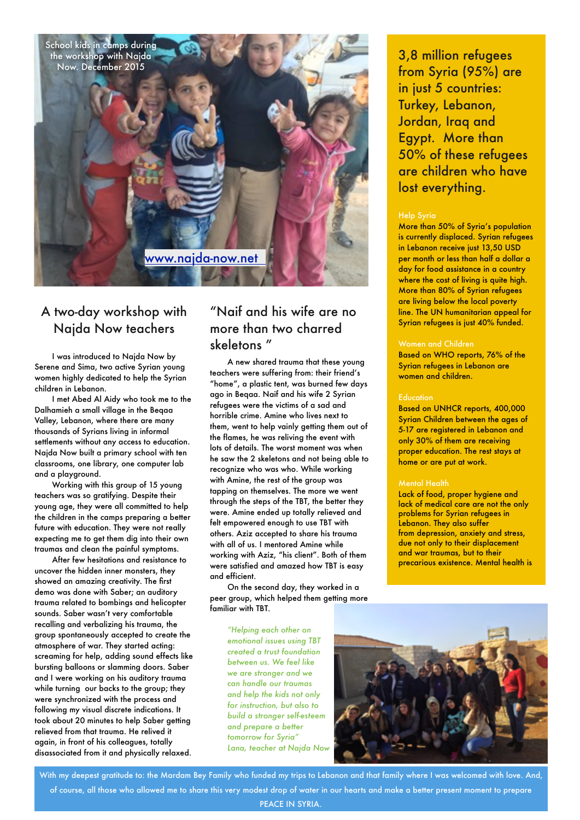

# A two-day workshop with Najda Now teachers

I was introduced to Najda Now by Serene and Sima, two active Syrian young women highly dedicated to help the Syrian children in Lebanon.

I met Abed Al Aidy who took me to the Dalhamieh a small village in the Beqaa Valley, Lebanon, where there are many thousands of Syrians living in informal settlements without any access to education. Najda Now built a primary school with ten classrooms, one library, one computer lab and a playground.

Working with this group of 15 young teachers was so gratifying. Despite their young age, they were all committed to help the children in the camps preparing a better future with education. They were not really expecting me to get them dig into their own traumas and clean the painful symptoms.

After few hesitations and resistance to uncover the hidden inner monsters, they showed an amazing creativity. The first demo was done with Saber; an auditory trauma related to bombings and helicopter sounds. Saber wasn't very comfortable recalling and verbalizing his trauma, the group spontaneously accepted to create the atmosphere of war. They started acting: screaming for help, adding sound effects like bursting balloons or slamming doors. Saber and I were working on his auditory trauma while turning our backs to the group; they were synchronized with the process and following my visual discrete indications. It took about 20 minutes to help Saber getting relieved from that trauma. He relived it again, in front of his colleagues, totally disassociated from it and physically relaxed.

### "Naif and his wife are no more than two charred skeletons "

A new shared trauma that these young teachers were suffering from: their friend's "home", a plastic tent, was burned few days ago in Beqaa. Naif and his wife 2 Syrian refugees were the victims of a sad and horrible crime. Amine who lives next to them, went to help vainly getting them out of the flames, he was reliving the event with lots of details. The worst moment was when he saw the 2 skeletons and not being able to recognize who was who. While working with Amine, the rest of the group was tapping on themselves. The more we went through the steps of the TBT, the better they were. Amine ended up totally relieved and felt empowered enough to use TBT with others. Aziz accepted to share his trauma with all of us. I mentored Amine while working with Aziz, "his client". Both of them were satisfied and amazed how TBT is easy and efficient.

On the second day, they worked in a peer group, which helped them getting more familiar with TBT.

> *"Helping each other on emotional issues using TBT created a trust foundation between us. We feel like we are stronger and we can handle our traumas and help the kids not only for instruction, but also to build a stronger self-esteem and prepare a better tomorrow for Syria" Lana, teacher at Najda Now*



With my deepest gratitude to: the Mardam Bey Family who funded my trips to Lebanon and that family where I was welcomed with love. And, of course, all those who allowed me to share this very modest drop of water in our hearts and make a better present moment to prepare PEACE IN SYRIA.

3,8 million refugees from Syria (95%) are in just 5 countries: Turkey, Lebanon, Jordan, Iraq and Egypt. More than 50% of these refugees are children who have lost everything.

#### Help Syria

More than 50% of Syria's population is currently displaced. Syrian refugees in Lebanon receive just 13,50 USD per month or less than half a dollar a day for food assistance in a country where the cost of living is quite high. More than 80% of Syrian refugees are living below the local poverty line. The UN humanitarian appeal for Syrian refugees is just 40% funded.

#### Women and Children

Based on WHO reports, 76% of the Syrian refugees in Lebanon are women and children.

#### **Education**

Based on UNHCR reports, 400,000 Syrian Children between the ages of 5-17 are registered in Lebanon and only 30% of them are receiving proper education. The rest stays at home or are put at work.

#### Mental Health

Lack of food, proper hygiene and lack of medical care are not the only problems for [Syrian refugees](http://www.al-monitor.com/pulse/originals/2015/06/lebanon-syria-refugees-camps-youth-host-country-economy.html) in Lebanon. They also suffer from [depression, anxiety and stress,](http://www.aljazeera.com/indepth/features/2013/11/syrian-refugees-struggle-with-trauma-20131149056592857.html) due not only to their displacement and war traumas, but to their precarious existence. Mental health is